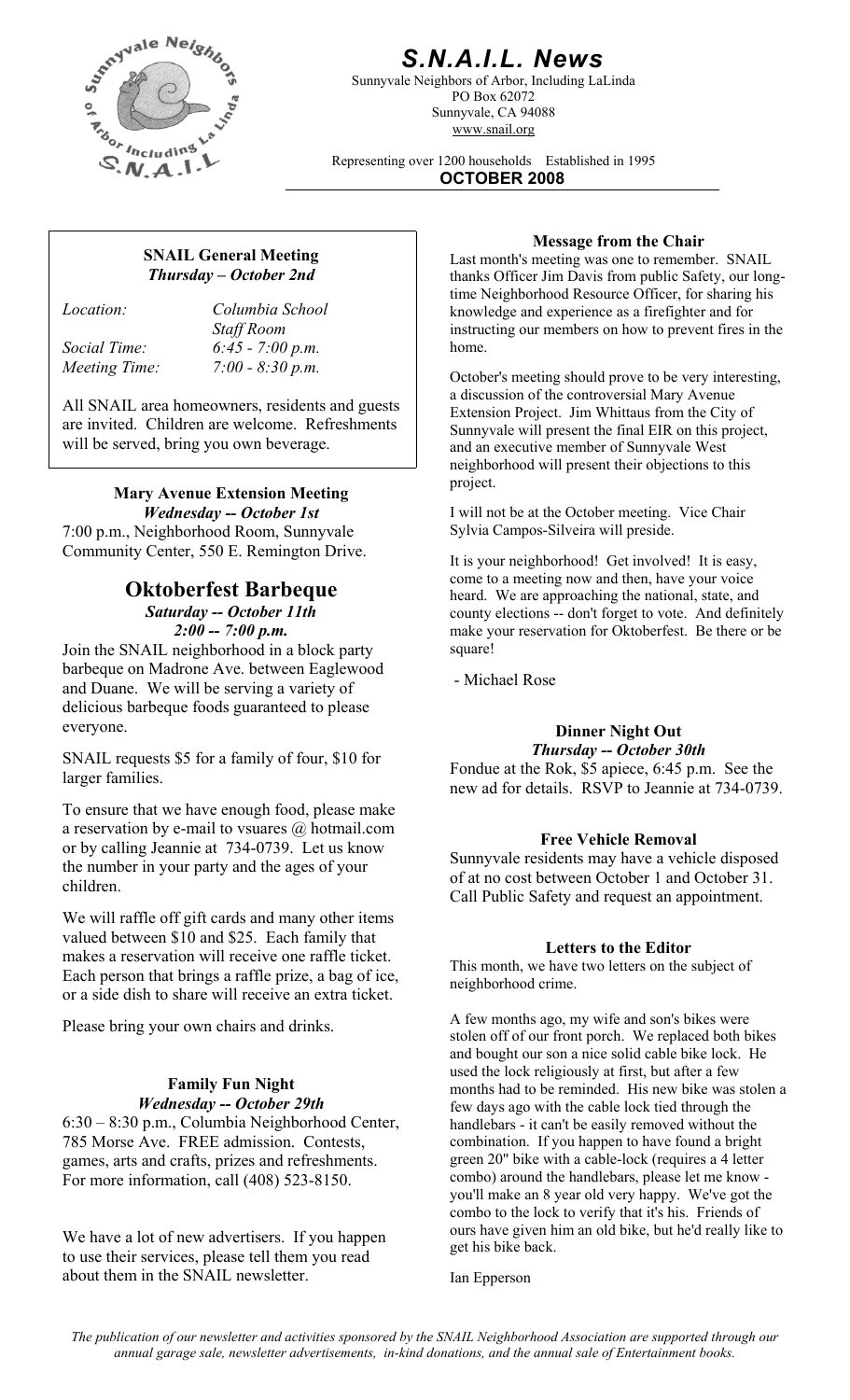

### *S.N.A.I.L. News*

Sunnyvale Neighbors of Arbor, Including LaLinda PO Box 62072 Sunnyvale, CA 94088 www.snail.org

Representing over 1200 households Established in 1995 **OCTOBER 2008**

# *Thursday – October 2nd*

*Location: Columbia School Staff Room Social Time: 6:45 - 7:00 p.m.* 

All SNAIL area homeowners, residents and guests are invited. Children are welcome. Refreshments will be served, bring you own beverage.

# **Mary Avenue Extension Meeting**

7:00 p.m., Neighborhood Room, Sunnyvale Sylvia Campos-Silveira will preside. Community Center, 550 E. Remington Drive.<br>It is your neighborhood! Get involved! It is easy,

### **Oktoberfest Barbeque**

*Saturday -- October 11th 2:00 -- 7:00 p.m.*

Join the SNAIL neighborhood in a block party barbeque on Madrone Ave. between Eaglewood and Duane. We will be serving a variety of delicious barbeque foods guaranteed to please everyone.

*Theref 35 for a family of four, \$10 for* 

To ensure that we have enough food, please make a reservation by e-mail to vsuares  $\omega$  hotmail.com or by calling Jeannie at 734-0739. Let us know the number in your party and the ages of your children.

We will raffle off gift cards and many other items valued between \$10 and \$25. Each family that makes a reservation will receive one raffle ticket. Each person that brings a raffle prize, a bag of ice, or a side dish to share will receive an extra ticket.

Please bring your own chairs and drinks.

## **Family Fun Night**

*Wednesday -- October 29th* 6:30 – 8:30 p.m., Columbia Neighborhood Center, 785 Morse Ave. FREE admission. Contests, games, arts and crafts, prizes and refreshments. For more information, call (408) 523-8150.

We have a lot of new advertisers. If you happen to use their services, please tell them you read about them in the SNAIL newsletter. Ian Epperson

**Message from the Chair**<br>
Last month's meeting was one to remember. SNAIL thanks Officer Jim Davis from public Safety, our longtime Neighborhood Resource Officer, for sharing his knowledge and experience as a firefighter and for instructing our members on how to prevent fires in the home.

*Meeting Time:* 7:00 - 8:30 p.m. **Conserversity** October's meeting should prove to be very interesting, a discussion of the controversial Mary Avenue Extension Project. Jim Whittaus from the City of Sunnyvale will present the final EIR on this project, and an executive member of Sunnyvale West neighborhood will present their objections to this project.

*Wednesday -- October 1st* I will not be at the October meeting. Vice Chair

come to a meeting now and then, have your voice heard. We are approaching the national, state, and county elections -- don't forget to vote. And definitely make your reservation for Oktoberfest. Be there or be square!

- Michael Rose

# **Dinner Night Out**<br>**Thursday -- October 30th**

larger families. Fondue at the Rok, \$5 apiece, 6:45 p.m. See the new ad for details. RSVP to Jeannie at 734-0739.

#### **Free Vehicle Removal**

Sunnyvale residents may have a vehicle disposed of at no cost between October 1 and October 31. Call Public Safety and request an appointment.

#### **Letters to the Editor**

This month, we have two letters on the subject of neighborhood crime.

A few months ago, my wife and son's bikes were stolen off of our front porch. We replaced both bikes and bought our son a nice solid cable bike lock. He used the lock religiously at first, but after a few months had to be reminded. His new bike was stolen a few days ago with the cable lock tied through the handlebars - it can't be easily removed without the combination. If you happen to have found a bright green 20" bike with a cable-lock (requires a 4 letter combo) around the handlebars, please let me know you'll make an 8 year old very happy. We've got the combo to the lock to verify that it's his. Friends of ours have given him an old bike, but he'd really like to get his bike back.